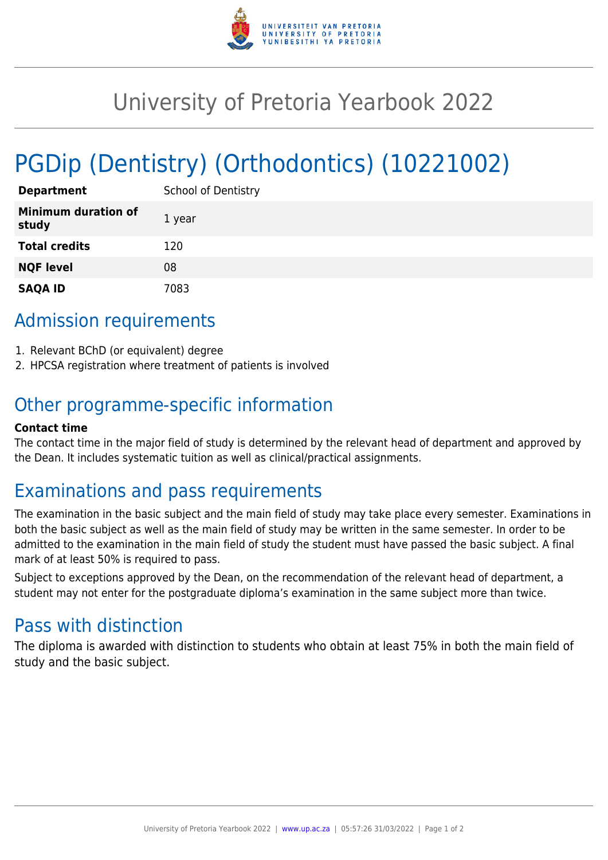

# University of Pretoria Yearbook 2022

# PGDip (Dentistry) (Orthodontics) (10221002)

| <b>Department</b>                   | <b>School of Dentistry</b> |
|-------------------------------------|----------------------------|
| <b>Minimum duration of</b><br>study | 1 year                     |
| <b>Total credits</b>                | 120                        |
| <b>NQF level</b>                    | 08                         |
| <b>SAQA ID</b>                      | 7083                       |

# Admission requirements

- 1. Relevant BChD (or equivalent) degree
- 2. HPCSA registration where treatment of patients is involved

# Other programme-specific information

#### **Contact time**

The contact time in the major field of study is determined by the relevant head of department and approved by the Dean. It includes systematic tuition as well as clinical/practical assignments.

## Examinations and pass requirements

The examination in the basic subject and the main field of study may take place every semester. Examinations in both the basic subject as well as the main field of study may be written in the same semester. In order to be admitted to the examination in the main field of study the student must have passed the basic subject. A final mark of at least 50% is required to pass.

Subject to exceptions approved by the Dean, on the recommendation of the relevant head of department, a student may not enter for the postgraduate diploma's examination in the same subject more than twice.

## Pass with distinction

The diploma is awarded with distinction to students who obtain at least 75% in both the main field of study and the basic subject.